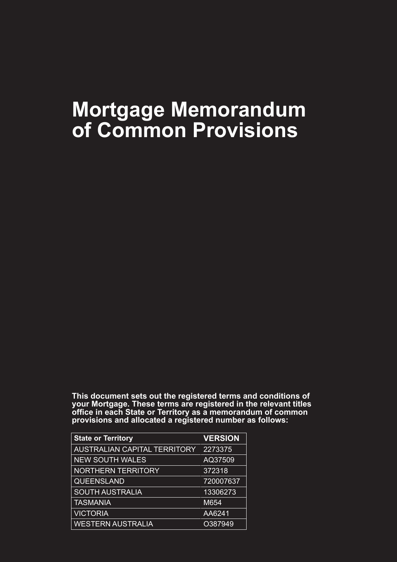# **Mortgage Memorandum of Common Provisions**

**This document sets out the registered terms and conditions of your Mortgage. These terms are registered in the relevant titles office in each State or Territory as a memorandum of common provisions and allocated a registered number as follows:**

| <b>State or Territory</b>           | <b>VERSION</b> |
|-------------------------------------|----------------|
| <b>AUSTRALIAN CAPITAL TERRITORY</b> | 2273375        |
| <b>NEW SOUTH WALES</b>              | AQ37509        |
| <b>NORTHERN TERRITORY</b>           | 372318         |
| <b>QUEENSLAND</b>                   | 720007637      |
| <b>SOUTH AUSTRALIA</b>              | 13306273       |
| <b>TASMANIA</b>                     | M654           |
| <b>VICTORIA</b>                     | AA6241         |
| <b>WESTERN AUSTRALIA</b>            | O387949        |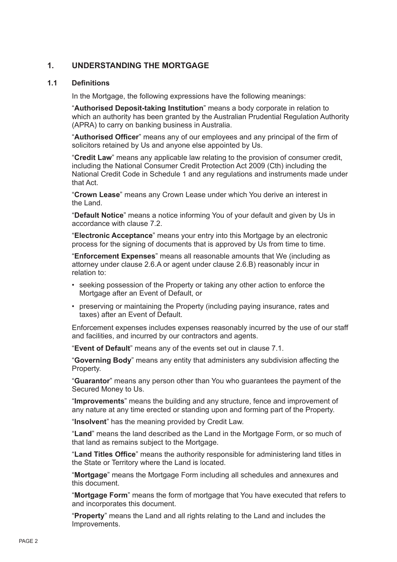# **1. UNDERSTANDING THE MORTGAGE**

# **1.1 Definitions**

In the Mortgage, the following expressions have the following meanings:

"**Authorised Deposit-taking Institution**" means a body corporate in relation to which an authority has been granted by the Australian Prudential Regulation Authority (APRA) to carry on banking business in Australia.

"**Authorised Officer**" means any of our employees and any principal of the firm of solicitors retained by Us and anyone else appointed by Us.

"**Credit Law**" means any applicable law relating to the provision of consumer credit, including the National Consumer Credit Protection Act 2009 (Cth) including the National Credit Code in Schedule 1 and any regulations and instruments made under that Act.

"**Crown Lease**" means any Crown Lease under which You derive an interest in the Land.

"**Default Notice**" means a notice informing You of your default and given by Us in accordance with clause 7.2.

"**Electronic Acceptance**" means your entry into this Mortgage by an electronic process for the signing of documents that is approved by Us from time to time.

"**Enforcement Expenses**" means all reasonable amounts that We (including as attorney under clause 2.6.A or agent under clause 2.6.B) reasonably incur in relation to:

- seeking possession of the Property or taking any other action to enforce the Mortgage after an Event of Default, or
- preserving or maintaining the Property (including paying insurance, rates and taxes) after an Event of Default.

Enforcement expenses includes expenses reasonably incurred by the use of our staff and facilities, and incurred by our contractors and agents.

"**Event of Default**" means any of the events set out in clause 7.1.

"**Governing Body**" means any entity that administers any subdivision affecting the Property.

"**Guarantor**" means any person other than You who guarantees the payment of the Secured Money to Us.

"**Improvements**" means the building and any structure, fence and improvement of any nature at any time erected or standing upon and forming part of the Property.

"**Insolvent**" has the meaning provided by Credit Law.

"**Land**" means the land described as the Land in the Mortgage Form, or so much of that land as remains subject to the Mortgage.

"**Land Titles Office**" means the authority responsible for administering land titles in the State or Territory where the Land is located.

"**Mortgage**" means the Mortgage Form including all schedules and annexures and this document.

"**Mortgage Form**" means the form of mortgage that You have executed that refers to and incorporates this document.

"**Property**" means the Land and all rights relating to the Land and includes the Improvements.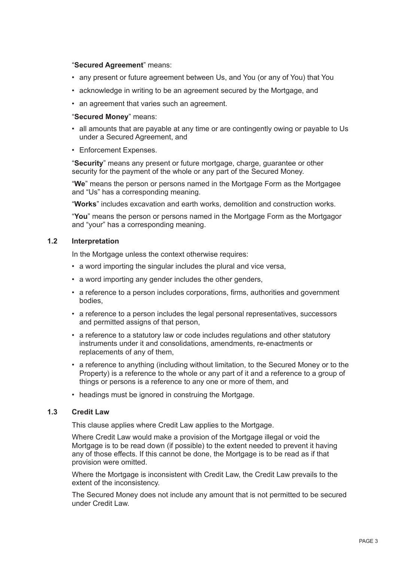# "**Secured Agreement**" means:

- any present or future agreement between Us, and You (or any of You) that You
- acknowledge in writing to be an agreement secured by the Mortgage, and
- an agreement that varies such an agreement.

#### "**Secured Money**" means:

- all amounts that are payable at any time or are contingently owing or payable to Us under a Secured Agreement, and
- Enforcement Expenses.

"**Security**" means any present or future mortgage, charge, guarantee or other security for the payment of the whole or any part of the Secured Money.

"**We**" means the person or persons named in the Mortgage Form as the Mortgagee and "Us" has a corresponding meaning.

"**Works**" includes excavation and earth works, demolition and construction works.

"**You**" means the person or persons named in the Mortgage Form as the Mortgagor and "your" has a corresponding meaning.

# **1.2 Interpretation**

In the Mortgage unless the context otherwise requires:

- a word importing the singular includes the plural and vice versa,
- a word importing any gender includes the other genders,
- a reference to a person includes corporations, firms, authorities and government bodies,
- a reference to a person includes the legal personal representatives, successors and permitted assigns of that person,
- a reference to a statutory law or code includes regulations and other statutory instruments under it and consolidations, amendments, re-enactments or replacements of any of them,
- a reference to anything (including without limitation, to the Secured Money or to the Property) is a reference to the whole or any part of it and a reference to a group of things or persons is a reference to any one or more of them, and
- headings must be ignored in construing the Mortgage.

# **1.3 Credit Law**

This clause applies where Credit Law applies to the Mortgage.

Where Credit Law would make a provision of the Mortgage illegal or void the Mortgage is to be read down (if possible) to the extent needed to prevent it having any of those effects. If this cannot be done, the Mortgage is to be read as if that provision were omitted.

Where the Mortgage is inconsistent with Credit Law, the Credit Law prevails to the extent of the inconsistency.

The Secured Money does not include any amount that is not permitted to be secured under Credit Law.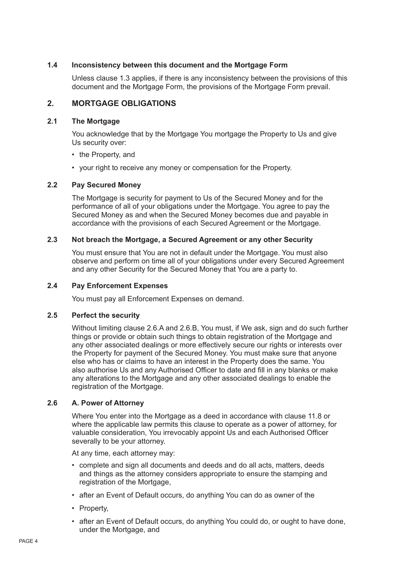# **1.4 Inconsistency between this document and the Mortgage Form**

Unless clause 1.3 applies, if there is any inconsistency between the provisions of this document and the Mortgage Form, the provisions of the Mortgage Form prevail.

# **2. MORTGAGE OBLIGATIONS**

# **2.1 The Mortgage**

You acknowledge that by the Mortgage You mortgage the Property to Us and give Us security over:

- the Property, and
- your right to receive any money or compensation for the Property.

# **2.2 Pay Secured Money**

The Mortgage is security for payment to Us of the Secured Money and for the performance of all of your obligations under the Mortgage. You agree to pay the Secured Money as and when the Secured Money becomes due and payable in accordance with the provisions of each Secured Agreement or the Mortgage.

# **2.3 Not breach the Mortgage, a Secured Agreement or any other Security**

You must ensure that You are not in default under the Mortgage. You must also observe and perform on time all of your obligations under every Secured Agreement and any other Security for the Secured Money that You are a party to.

#### **2.4 Pay Enforcement Expenses**

You must pay all Enforcement Expenses on demand.

#### **2.5 Perfect the security**

Without limiting clause 2.6.A and 2.6.B, You must, if We ask, sign and do such further things or provide or obtain such things to obtain registration of the Mortgage and any other associated dealings or more effectively secure our rights or interests over the Property for payment of the Secured Money. You must make sure that anyone else who has or claims to have an interest in the Property does the same. You also authorise Us and any Authorised Officer to date and fill in any blanks or make any alterations to the Mortgage and any other associated dealings to enable the registration of the Mortgage.

# **2.6 A. Power of Attorney**

Where You enter into the Mortgage as a deed in accordance with clause 11.8 or where the applicable law permits this clause to operate as a power of attorney, for valuable consideration, You irrevocably appoint Us and each Authorised Officer severally to be your attorney.

At any time, each attorney may:

- complete and sign all documents and deeds and do all acts, matters, deeds and things as the attorney considers appropriate to ensure the stamping and registration of the Mortgage.
- after an Event of Default occurs, do anything You can do as owner of the
- Property,
- after an Event of Default occurs, do anything You could do, or ought to have done, under the Mortgage, and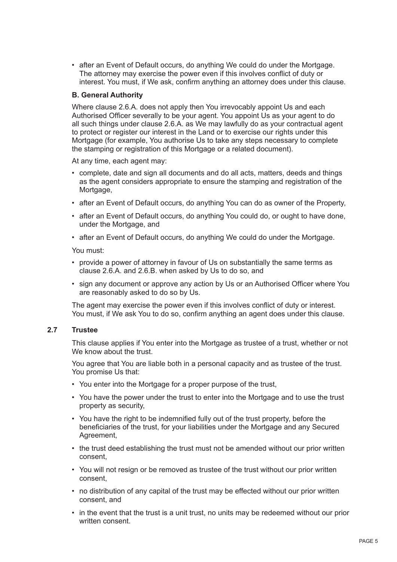• after an Event of Default occurs, do anything We could do under the Mortgage. The attorney may exercise the power even if this involves conflict of duty or interest. You must, if We ask, confirm anything an attorney does under this clause.

# **B. General Authority**

Where clause 2.6.A. does not apply then You irrevocably appoint Us and each Authorised Officer severally to be your agent. You appoint Us as your agent to do all such things under clause 2.6.A. as We may lawfully do as your contractual agent to protect or register our interest in the Land or to exercise our rights under this Mortgage (for example, You authorise Us to take any steps necessary to complete the stamping or registration of this Mortgage or a related document).

At any time, each agent may:

- complete, date and sign all documents and do all acts, matters, deeds and things as the agent considers appropriate to ensure the stamping and registration of the Mortgage,
- after an Event of Default occurs, do anything You can do as owner of the Property,
- after an Event of Default occurs, do anything You could do, or ought to have done, under the Mortgage, and
- after an Event of Default occurs, do anything We could do under the Mortgage.

You must:

- provide a power of attorney in favour of Us on substantially the same terms as clause 2.6.A. and 2.6.B. when asked by Us to do so, and
- sign any document or approve any action by Us or an Authorised Officer where You are reasonably asked to do so by Us.

The agent may exercise the power even if this involves conflict of duty or interest. You must, if We ask You to do so, confirm anything an agent does under this clause.

# **2.7 Trustee**

This clause applies if You enter into the Mortgage as trustee of a trust, whether or not We know about the trust.

You agree that You are liable both in a personal capacity and as trustee of the trust. You promise Us that:

- You enter into the Mortgage for a proper purpose of the trust,
- You have the power under the trust to enter into the Mortgage and to use the trust property as security,
- You have the right to be indemnified fully out of the trust property, before the beneficiaries of the trust, for your liabilities under the Mortgage and any Secured Agreement,
- the trust deed establishing the trust must not be amended without our prior written consent,
- You will not resign or be removed as trustee of the trust without our prior written consent,
- no distribution of any capital of the trust may be effected without our prior written consent, and
- in the event that the trust is a unit trust, no units may be redeemed without our prior written consent.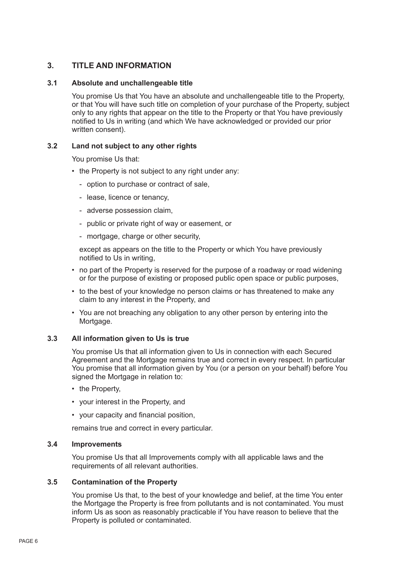# **3. TITLE AND INFORMATION**

# **3.1 Absolute and unchallengeable title**

You promise Us that You have an absolute and unchallengeable title to the Property, or that You will have such title on completion of your purchase of the Property, subject only to any rights that appear on the title to the Property or that You have previously notified to Us in writing (and which We have acknowledged or provided our prior written consent).

# **3.2 Land not subject to any other rights**

You promise Us that:

- the Property is not subject to any right under any:
	- option to purchase or contract of sale,
	- lease, licence or tenancy,
	- adverse possession claim,
	- public or private right of way or easement, or
	- mortgage, charge or other security,

except as appears on the title to the Property or which You have previously notified to Us in writing,

- no part of the Property is reserved for the purpose of a roadway or road widening or for the purpose of existing or proposed public open space or public purposes,
- to the best of your knowledge no person claims or has threatened to make any claim to any interest in the Property, and
- You are not breaching any obligation to any other person by entering into the Mortgage.

#### **3.3 All information given to Us is true**

You promise Us that all information given to Us in connection with each Secured Agreement and the Mortgage remains true and correct in every respect. In particular You promise that all information given by You (or a person on your behalf) before You signed the Mortgage in relation to:

- the Property,
- your interest in the Property, and
- your capacity and financial position,

remains true and correct in every particular.

#### **3.4 Improvements**

You promise Us that all Improvements comply with all applicable laws and the requirements of all relevant authorities.

# **3.5 Contamination of the Property**

You promise Us that, to the best of your knowledge and belief, at the time You enter the Mortgage the Property is free from pollutants and is not contaminated. You must inform Us as soon as reasonably practicable if You have reason to believe that the Property is polluted or contaminated.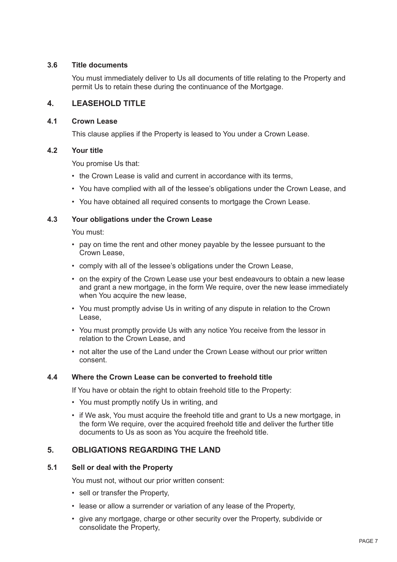# **3.6 Title documents**

You must immediately deliver to Us all documents of title relating to the Property and permit Us to retain these during the continuance of the Mortgage.

# **4. LEASEHOLD TITLE**

# **4.1 Crown Lease**

This clause applies if the Property is leased to You under a Crown Lease.

# **4.2 Your title**

You promise Us that:

- the Crown Lease is valid and current in accordance with its terms.
- You have complied with all of the lessee's obligations under the Crown Lease, and
- You have obtained all required consents to mortgage the Crown Lease.

# **4.3 Your obligations under the Crown Lease**

You must:

- pay on time the rent and other money payable by the lessee pursuant to the Crown Lease,
- comply with all of the lessee's obligations under the Crown Lease,
- on the expiry of the Crown Lease use your best endeavours to obtain a new lease and grant a new mortgage, in the form We require, over the new lease immediately when You acquire the new lease,
- You must promptly advise Us in writing of any dispute in relation to the Crown Lease,
- You must promptly provide Us with any notice You receive from the lessor in relation to the Crown Lease, and
- not alter the use of the Land under the Crown Lease without our prior written consent.

# **4.4 Where the Crown Lease can be converted to freehold title**

If You have or obtain the right to obtain freehold title to the Property:

- You must promptly notify Us in writing, and
- if We ask, You must acquire the freehold title and grant to Us a new mortgage, in the form We require, over the acquired freehold title and deliver the further title documents to Us as soon as You acquire the freehold title.

# **5. OBLIGATIONS REGARDING THE LAND**

# **5.1 Sell or deal with the Property**

You must not, without our prior written consent:

- sell or transfer the Property,
- lease or allow a surrender or variation of any lease of the Property,
- give any mortgage, charge or other security over the Property, subdivide or consolidate the Property,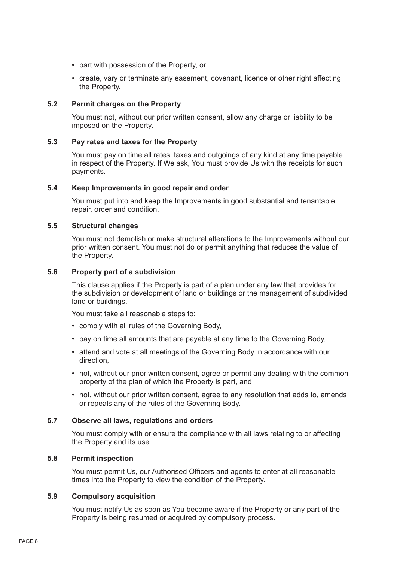- part with possession of the Property, or
- create, vary or terminate any easement, covenant, licence or other right affecting the Property.

# **5.2 Permit charges on the Property**

You must not, without our prior written consent, allow any charge or liability to be imposed on the Property.

#### **5.3 Pay rates and taxes for the Property**

You must pay on time all rates, taxes and outgoings of any kind at any time payable in respect of the Property. If We ask, You must provide Us with the receipts for such payments.

# **5.4 Keep Improvements in good repair and order**

You must put into and keep the Improvements in good substantial and tenantable repair, order and condition.

# **5.5 Structural changes**

You must not demolish or make structural alterations to the Improvements without our prior written consent. You must not do or permit anything that reduces the value of the Property.

# **5.6 Property part of a subdivision**

This clause applies if the Property is part of a plan under any law that provides for the subdivision or development of land or buildings or the management of subdivided land or buildings.

You must take all reasonable steps to:

- comply with all rules of the Governing Body,
- pay on time all amounts that are payable at any time to the Governing Body,
- attend and vote at all meetings of the Governing Body in accordance with our direction,
- not, without our prior written consent, agree or permit any dealing with the common property of the plan of which the Property is part, and
- not, without our prior written consent, agree to any resolution that adds to, amends or repeals any of the rules of the Governing Body.

# **5.7 Observe all laws, regulations and orders**

You must comply with or ensure the compliance with all laws relating to or affecting the Property and its use.

# **5.8 Permit inspection**

You must permit Us, our Authorised Officers and agents to enter at all reasonable times into the Property to view the condition of the Property.

#### **5.9 Compulsory acquisition**

You must notify Us as soon as You become aware if the Property or any part of the Property is being resumed or acquired by compulsory process.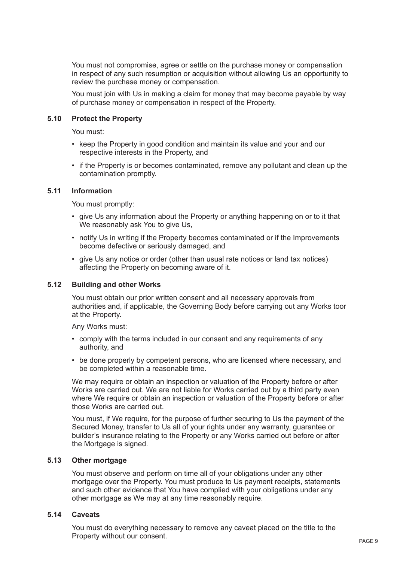You must not compromise, agree or settle on the purchase money or compensation in respect of any such resumption or acquisition without allowing Us an opportunity to review the purchase money or compensation.

You must join with Us in making a claim for money that may become payable by way of purchase money or compensation in respect of the Property.

#### **5.10 Protect the Property**

You must:

- keep the Property in good condition and maintain its value and your and our respective interests in the Property, and
- if the Property is or becomes contaminated, remove any pollutant and clean up the contamination promptly.

# **5.11 Information**

You must promptly:

- give Us any information about the Property or anything happening on or to it that We reasonably ask You to give Us,
- notify Us in writing if the Property becomes contaminated or if the Improvements become defective or seriously damaged, and
- give Us any notice or order (other than usual rate notices or land tax notices) affecting the Property on becoming aware of it.

# **5.12 Building and other Works**

You must obtain our prior written consent and all necessary approvals from authorities and, if applicable, the Governing Body before carrying out any Works toor at the Property.

Any Works must:

- comply with the terms included in our consent and any requirements of any authority, and
- be done properly by competent persons, who are licensed where necessary, and be completed within a reasonable time.

We may require or obtain an inspection or valuation of the Property before or after Works are carried out. We are not liable for Works carried out by a third party even where We require or obtain an inspection or valuation of the Property before or after those Works are carried out.

You must, if We require, for the purpose of further securing to Us the payment of the Secured Money, transfer to Us all of your rights under any warranty, guarantee or builder's insurance relating to the Property or any Works carried out before or after the Mortgage is signed.

# **5.13 Other mortgage**

You must observe and perform on time all of your obligations under any other mortgage over the Property. You must produce to Us payment receipts, statements and such other evidence that You have complied with your obligations under any other mortgage as We may at any time reasonably require.

# **5.14 Caveats**

You must do everything necessary to remove any caveat placed on the title to the Property without our consent.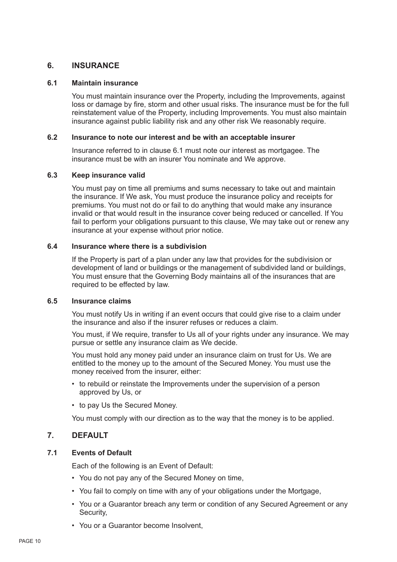# **6. INSURANCE**

#### **6.1 Maintain insurance**

You must maintain insurance over the Property, including the Improvements, against loss or damage by fire, storm and other usual risks. The insurance must be for the full reinstatement value of the Property, including Improvements. You must also maintain insurance against public liability risk and any other risk We reasonably require.

# **6.2 Insurance to note our interest and be with an acceptable insurer**

Insurance referred to in clause 6.1 must note our interest as mortgagee. The insurance must be with an insurer You nominate and We approve.

# **6.3 Keep insurance valid**

You must pay on time all premiums and sums necessary to take out and maintain the insurance. If We ask, You must produce the insurance policy and receipts for premiums. You must not do or fail to do anything that would make any insurance invalid or that would result in the insurance cover being reduced or cancelled. If You fail to perform your obligations pursuant to this clause, We may take out or renew any insurance at your expense without prior notice.

# **6.4 Insurance where there is a subdivision**

If the Property is part of a plan under any law that provides for the subdivision or development of land or buildings or the management of subdivided land or buildings, You must ensure that the Governing Body maintains all of the insurances that are required to be effected by law.

#### **6.5 Insurance claims**

You must notify Us in writing if an event occurs that could give rise to a claim under the insurance and also if the insurer refuses or reduces a claim.

You must, if We require, transfer to Us all of your rights under any insurance. We may pursue or settle any insurance claim as We decide.

You must hold any money paid under an insurance claim on trust for Us. We are entitled to the money up to the amount of the Secured Money. You must use the money received from the insurer, either:

- to rebuild or reinstate the Improvements under the supervision of a person approved by Us, or
- to pay Us the Secured Money.

You must comply with our direction as to the way that the money is to be applied.

# **7. DEFAULT**

# **7.1 Events of Default**

Each of the following is an Event of Default:

- You do not pay any of the Secured Money on time,
- You fail to comply on time with any of your obligations under the Mortgage,
- You or a Guarantor breach any term or condition of any Secured Agreement or any Security,
- You or a Guarantor become Insolvent,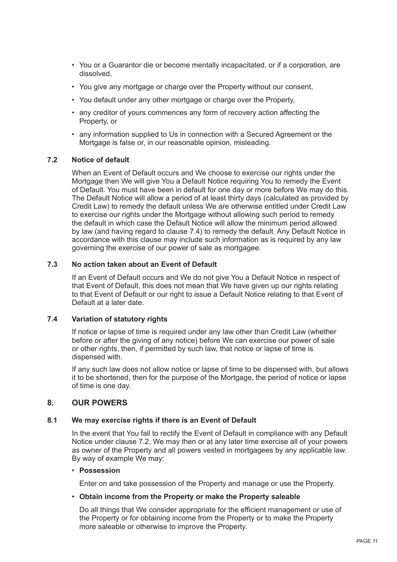- You or a Guarantor die or become mentally incapacitated, or if a corporation, are dissolved,
- You give any mortgage or charge over the Property without our consent,
- You default under any other mortgage or charge over the Property,
- any creditor of yours commences any form of recovery action affecting the Property, or
- any information supplied to Us in connection with a Secured Agreement or the Mortgage is false or, in our reasonable opinion, misleading.

# **7.2 Notice of default**

When an Event of Default occurs and We choose to exercise our rights under the Mortgage then We will give You a Default Notice requiring You to remedy the Event of Default. You must have been in default for one day or more before We may do this. The Default Notice will allow a period of at least thirty days (calculated as provided by Credit Law) to remedy the default unless We are otherwise entitled under Credit Law to exercise our rights under the Mortgage without allowing such period to remedy the default in which case the Default Notice will allow the minimum period allowed by law (and having regard to clause 7.4) to remedy the default. Any Default Notice in accordance with this clause may include such information as is required by any law governing the exercise of our power of sale as mortgagee.

# **7.3 No action taken about an Event of Default**

If an Event of Default occurs and We do not give You a Default Notice in respect of that Event of Default, this does not mean that We have given up our rights relating to that Event of Default or our right to issue a Default Notice relating to that Event of Default at a later date.

# **7.4 Variation of statutory rights**

If notice or lapse of time is required under any law other than Credit Law (whether before or after the giving of any notice) before We can exercise our power of sale or other rights, then, if permitted by such law, that notice or lapse of time is dispensed with.

If any such law does not allow notice or lapse of time to be dispensed with, but allows it to be shortened, then for the purpose of the Mortgage, the period of notice or lapse of time is one day.

# **8. OUR POWERS**

#### **8.1 We may exercise rights if there is an Event of Default**

In the event that You fail to rectify the Event of Default in compliance with any Default Notice under clause 7.2, We may then or at any later time exercise all of your powers as owner of the Property and all powers vested in mortgagees by any applicable law. By way of example We may:

#### • **Possession**

Enter on and take possession of the Property and manage or use the Property.

#### • **Obtain income from the Property or make the Property saleable**

Do all things that We consider appropriate for the efficient management or use of the Property or for obtaining income from the Property or to make the Property more saleable or otherwise to improve the Property.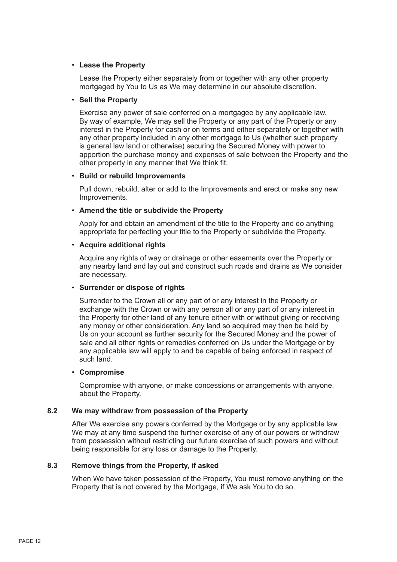# • **Lease the Property**

Lease the Property either separately from or together with any other property mortgaged by You to Us as We may determine in our absolute discretion.

#### • **Sell the Property**

Exercise any power of sale conferred on a mortgagee by any applicable law. By way of example, We may sell the Property or any part of the Property or any interest in the Property for cash or on terms and either separately or together with any other property included in any other mortgage to Us (whether such property is general law land or otherwise) securing the Secured Money with power to apportion the purchase money and expenses of sale between the Property and the other property in any manner that We think fit.

# • **Build or rebuild Improvements**

Pull down, rebuild, alter or add to the Improvements and erect or make any new Improvements.

# • **Amend the title or subdivide the Property**

Apply for and obtain an amendment of the title to the Property and do anything appropriate for perfecting your title to the Property or subdivide the Property.

# • **Acquire additional rights**

Acquire any rights of way or drainage or other easements over the Property or any nearby land and lay out and construct such roads and drains as We consider are necessary.

#### • **Surrender or dispose of rights**

Surrender to the Crown all or any part of or any interest in the Property or exchange with the Crown or with any person all or any part of or any interest in the Property for other land of any tenure either with or without giving or receiving any money or other consideration. Any land so acquired may then be held by Us on your account as further security for the Secured Money and the power of sale and all other rights or remedies conferred on Us under the Mortgage or by any applicable law will apply to and be capable of being enforced in respect of such land.

#### • **Compromise**

Compromise with anyone, or make concessions or arrangements with anyone, about the Property.

# **8.2 We may withdraw from possession of the Property**

After We exercise any powers conferred by the Mortgage or by any applicable law We may at any time suspend the further exercise of any of our powers or withdraw from possession without restricting our future exercise of such powers and without being responsible for any loss or damage to the Property.

# **8.3 Remove things from the Property, if asked**

When We have taken possession of the Property, You must remove anything on the Property that is not covered by the Mortgage, if We ask You to do so.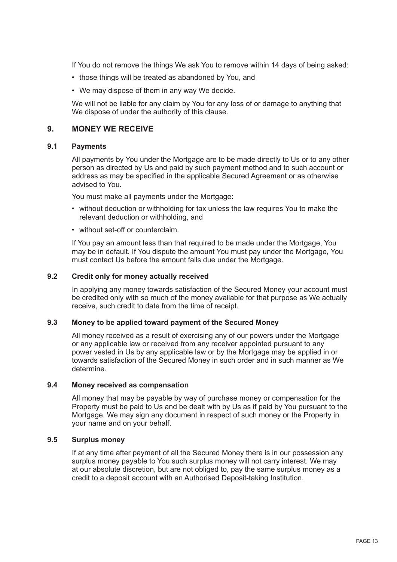If You do not remove the things We ask You to remove within 14 days of being asked:

- those things will be treated as abandoned by You, and
- We may dispose of them in any way We decide.

We will not be liable for any claim by You for any loss of or damage to anything that We dispose of under the authority of this clause.

# **9. MONEY WE RECEIVE**

# **9.1 Payments**

All payments by You under the Mortgage are to be made directly to Us or to any other person as directed by Us and paid by such payment method and to such account or address as may be specified in the applicable Secured Agreement or as otherwise advised to You.

You must make all payments under the Mortgage:

- without deduction or withholding for tax unless the law requires You to make the relevant deduction or withholding, and
- without set-off or counterclaim.

If You pay an amount less than that required to be made under the Mortgage, You may be in default. If You dispute the amount You must pay under the Mortgage, You must contact Us before the amount falls due under the Mortgage.

# **9.2 Credit only for money actually received**

In applying any money towards satisfaction of the Secured Money your account must be credited only with so much of the money available for that purpose as We actually receive, such credit to date from the time of receipt.

# **9.3 Money to be applied toward payment of the Secured Money**

All money received as a result of exercising any of our powers under the Mortgage or any applicable law or received from any receiver appointed pursuant to any power vested in Us by any applicable law or by the Mortgage may be applied in or towards satisfaction of the Secured Money in such order and in such manner as We determine.

# **9.4 Money received as compensation**

All money that may be payable by way of purchase money or compensation for the Property must be paid to Us and be dealt with by Us as if paid by You pursuant to the Mortgage. We may sign any document in respect of such money or the Property in your name and on your behalf.

#### **9.5 Surplus money**

If at any time after payment of all the Secured Money there is in our possession any surplus money payable to You such surplus money will not carry interest. We may at our absolute discretion, but are not obliged to, pay the same surplus money as a credit to a deposit account with an Authorised Deposit-taking Institution.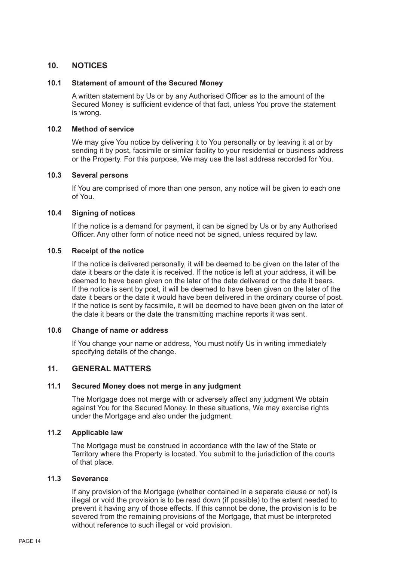# **10. NOTICES**

# **10.1 Statement of amount of the Secured Money**

A written statement by Us or by any Authorised Officer as to the amount of the Secured Money is sufficient evidence of that fact, unless You prove the statement is wrong.

# **10.2 Method of service**

We may give You notice by delivering it to You personally or by leaving it at or by sending it by post, facsimile or similar facility to your residential or business address or the Property. For this purpose, We may use the last address recorded for You.

# **10.3 Several persons**

If You are comprised of more than one person, any notice will be given to each one of You.

# **10.4 Signing of notices**

If the notice is a demand for payment, it can be signed by Us or by any Authorised Officer. Any other form of notice need not be signed, unless required by law.

# **10.5 Receipt of the notice**

If the notice is delivered personally, it will be deemed to be given on the later of the date it bears or the date it is received. If the notice is left at your address, it will be deemed to have been given on the later of the date delivered or the date it bears. If the notice is sent by post, it will be deemed to have been given on the later of the date it bears or the date it would have been delivered in the ordinary course of post. If the notice is sent by facsimile, it will be deemed to have been given on the later of the date it bears or the date the transmitting machine reports it was sent.

#### **10.6 Change of name or address**

If You change your name or address, You must notify Us in writing immediately specifying details of the change.

# **11. GENERAL MATTERS**

# **11.1 Secured Money does not merge in any judgment**

The Mortgage does not merge with or adversely affect any judgment We obtain against You for the Secured Money. In these situations, We may exercise rights under the Mortgage and also under the judgment.

# **11.2 Applicable law**

The Mortgage must be construed in accordance with the law of the State or Territory where the Property is located. You submit to the jurisdiction of the courts of that place.

# **11.3 Severance**

If any provision of the Mortgage (whether contained in a separate clause or not) is illegal or void the provision is to be read down (if possible) to the extent needed to prevent it having any of those effects. If this cannot be done, the provision is to be severed from the remaining provisions of the Mortgage, that must be interpreted without reference to such illegal or void provision.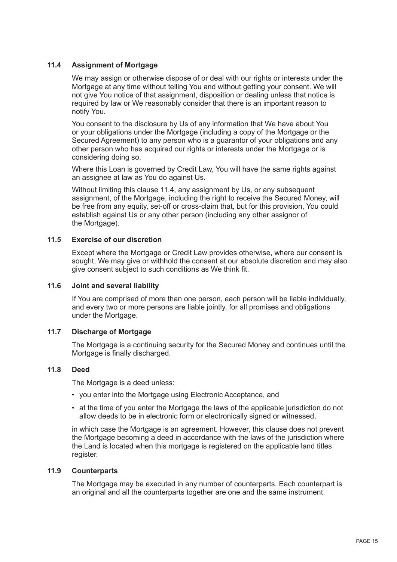# **11.4 Assignment of Mortgage**

We may assign or otherwise dispose of or deal with our rights or interests under the Mortgage at any time without telling You and without getting your consent. We will not give You notice of that assignment, disposition or dealing unless that notice is required by law or We reasonably consider that there is an important reason to notify You.

You consent to the disclosure by Us of any information that We have about You or your obligations under the Mortgage (including a copy of the Mortgage or the Secured Agreement) to any person who is a guarantor of your obligations and any other person who has acquired our rights or interests under the Mortgage or is considering doing so.

Where this Loan is governed by Credit Law, You will have the same rights against an assignee at law as You do against Us.

Without limiting this clause 11.4, any assignment by Us, or any subsequent assignment, of the Mortgage, including the right to receive the Secured Money, will be free from any equity, set-off or cross-claim that, but for this provision, You could establish against Us or any other person (including any other assignor of the Mortgage).

# **11.5 Exercise of our discretion**

Except where the Mortgage or Credit Law provides otherwise, where our consent is sought, We may give or withhold the consent at our absolute discretion and may also give consent subject to such conditions as We think fit.

#### **11.6 Joint and several liability**

If You are comprised of more than one person, each person will be liable individually, and every two or more persons are liable jointly, for all promises and obligations under the Mortgage.

# **11.7 Discharge of Mortgage**

The Mortgage is a continuing security for the Secured Money and continues until the Mortgage is finally discharged.

# **11.8 Deed**

The Mortgage is a deed unless:

- you enter into the Mortgage using Electronic Acceptance, and
- at the time of you enter the Mortgage the laws of the applicable jurisdiction do not allow deeds to be in electronic form or electronically signed or witnessed,

in which case the Mortgage is an agreement. However, this clause does not prevent the Mortgage becoming a deed in accordance with the laws of the jurisdiction where the Land is located when this mortgage is registered on the applicable land titles register.

# **11.9 Counterparts**

The Mortgage may be executed in any number of counterparts. Each counterpart is an original and all the counterparts together are one and the same instrument.